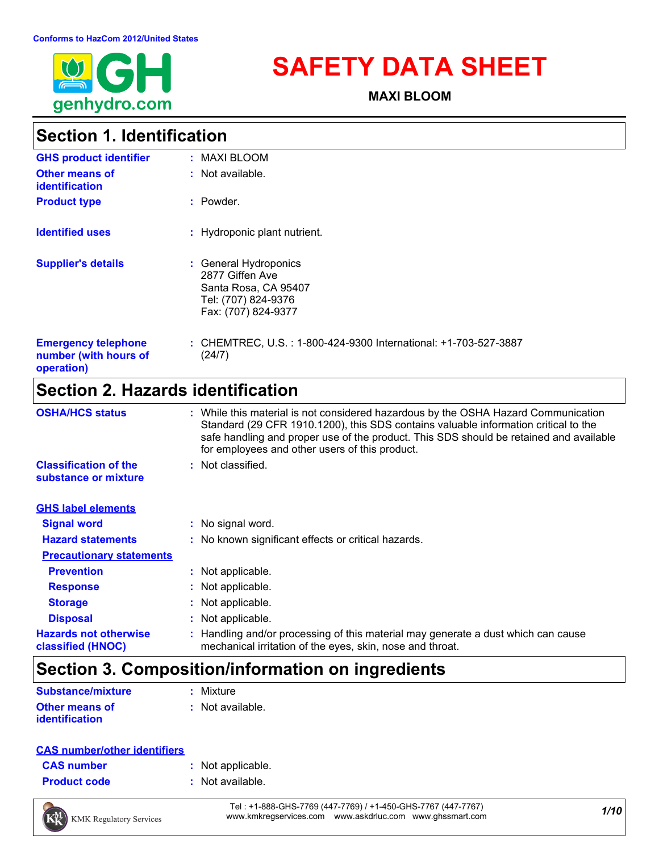

# **SAFETY DATA SHEET**

**MAXI BLOOM**

### **Section 1. Identification**

| <b>GHS product identifier</b>                                     | : MAXI BLOOM                                                                                                   |
|-------------------------------------------------------------------|----------------------------------------------------------------------------------------------------------------|
| <b>Other means of</b><br><b>identification</b>                    | : Not available.                                                                                               |
| <b>Product type</b>                                               | : Powder.                                                                                                      |
| <b>Identified uses</b>                                            | : Hydroponic plant nutrient.                                                                                   |
| <b>Supplier's details</b>                                         | : General Hydroponics<br>2877 Giffen Ave<br>Santa Rosa, CA 95407<br>Tel: (707) 824-9376<br>Fax: (707) 824-9377 |
| <b>Emergency telephone</b><br>number (with hours of<br>operation) | : CHEMTREC, U.S.: 1-800-424-9300 International: +1-703-527-3887<br>(24/7)                                      |

### **Section 2. Hazards identification**

| <b>OSHA/HCS status</b>                               | : While this material is not considered hazardous by the OSHA Hazard Communication<br>Standard (29 CFR 1910.1200), this SDS contains valuable information critical to the<br>safe handling and proper use of the product. This SDS should be retained and available<br>for employees and other users of this product. |  |
|------------------------------------------------------|-----------------------------------------------------------------------------------------------------------------------------------------------------------------------------------------------------------------------------------------------------------------------------------------------------------------------|--|
| <b>Classification of the</b><br>substance or mixture | : Not classified.                                                                                                                                                                                                                                                                                                     |  |
| <b>GHS label elements</b>                            |                                                                                                                                                                                                                                                                                                                       |  |
| <b>Signal word</b>                                   | : No signal word.                                                                                                                                                                                                                                                                                                     |  |
| <b>Hazard statements</b>                             | : No known significant effects or critical hazards.                                                                                                                                                                                                                                                                   |  |
| <b>Precautionary statements</b>                      |                                                                                                                                                                                                                                                                                                                       |  |
| <b>Prevention</b>                                    | : Not applicable.                                                                                                                                                                                                                                                                                                     |  |
| <b>Response</b>                                      | : Not applicable.                                                                                                                                                                                                                                                                                                     |  |
| <b>Storage</b>                                       | : Not applicable.                                                                                                                                                                                                                                                                                                     |  |
| <b>Disposal</b>                                      | : Not applicable.                                                                                                                                                                                                                                                                                                     |  |
| <b>Hazards not otherwise</b><br>classified (HNOC)    | : Handling and/or processing of this material may generate a dust which can cause<br>mechanical irritation of the eyes, skin, nose and throat.                                                                                                                                                                        |  |

### **Section 3. Composition/information on ingredients**

| <b>Substance/mixture</b> | : Mixture        |
|--------------------------|------------------|
| <b>Other means of</b>    | : Not available. |
| <i>identification</i>    |                  |

| <b>CAS number/other identifiers</b> |
|-------------------------------------|
|-------------------------------------|

| <b>CAS</b> number   | : Not applicable. |
|---------------------|-------------------|
| <b>Product code</b> | : Not available.  |

*1/10* Tel : +1-888-GHS-7769 (447-7769) / +1-450-GHS-7767 (447-7767) www.kmkregservices.com www.askdrluc.com www.ghssmart.com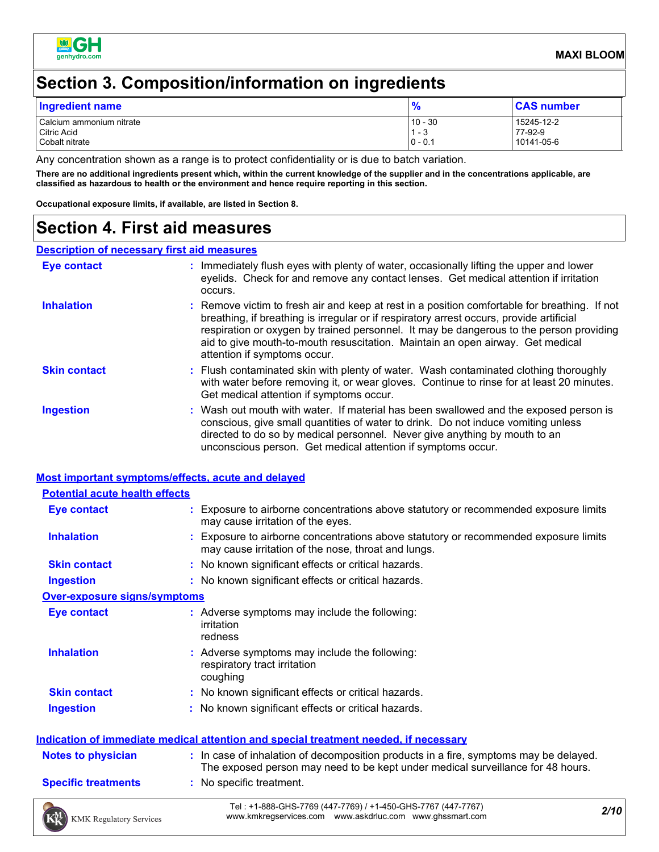

### **Section 3. Composition/information on ingredients**

| Ingredient name          | 0          | <b>CAS number</b> |
|--------------------------|------------|-------------------|
| Calcium ammonium nitrate | $10 - 30$  | 15245-12-2        |
| Citric Acid              | - 0        | 77-92-9           |
| Cobalt nitrate           | $10 - 0.1$ | 10141-05-6        |

Any concentration shown as a range is to protect confidentiality or is due to batch variation.

**There are no additional ingredients present which, within the current knowledge of the supplier and in the concentrations applicable, are classified as hazardous to health or the environment and hence require reporting in this section.**

**Occupational exposure limits, if available, are listed in Section 8.**

### **Section 4. First aid measures**

#### **Description of necessary first aid measures**

| <b>Eye contact</b>  | : Immediately flush eyes with plenty of water, occasionally lifting the upper and lower<br>eyelids. Check for and remove any contact lenses. Get medical attention if irritation<br>occurs.                                                                                                                                                                                                            |
|---------------------|--------------------------------------------------------------------------------------------------------------------------------------------------------------------------------------------------------------------------------------------------------------------------------------------------------------------------------------------------------------------------------------------------------|
| <b>Inhalation</b>   | : Remove victim to fresh air and keep at rest in a position comfortable for breathing. If not<br>breathing, if breathing is irregular or if respiratory arrest occurs, provide artificial<br>respiration or oxygen by trained personnel. It may be dangerous to the person providing<br>aid to give mouth-to-mouth resuscitation. Maintain an open airway. Get medical<br>attention if symptoms occur. |
| <b>Skin contact</b> | : Flush contaminated skin with plenty of water. Wash contaminated clothing thoroughly<br>with water before removing it, or wear gloves. Continue to rinse for at least 20 minutes.<br>Get medical attention if symptoms occur.                                                                                                                                                                         |
| <b>Ingestion</b>    | : Wash out mouth with water. If material has been swallowed and the exposed person is<br>conscious, give small quantities of water to drink. Do not induce vomiting unless<br>directed to do so by medical personnel. Never give anything by mouth to an<br>unconscious person. Get medical attention if symptoms occur.                                                                               |

#### **Most important symptoms/effects, acute and delayed**

| <b>Potential acute health effects</b> |                                                                                                                                                                          |  |  |  |
|---------------------------------------|--------------------------------------------------------------------------------------------------------------------------------------------------------------------------|--|--|--|
| <b>Eye contact</b>                    | : Exposure to airborne concentrations above statutory or recommended exposure limits<br>may cause irritation of the eyes.                                                |  |  |  |
| <b>Inhalation</b>                     | : Exposure to airborne concentrations above statutory or recommended exposure limits<br>may cause irritation of the nose, throat and lungs.                              |  |  |  |
| <b>Skin contact</b>                   | : No known significant effects or critical hazards.                                                                                                                      |  |  |  |
| <b>Ingestion</b>                      | : No known significant effects or critical hazards.                                                                                                                      |  |  |  |
| <b>Over-exposure signs/symptoms</b>   |                                                                                                                                                                          |  |  |  |
| <b>Eye contact</b>                    | : Adverse symptoms may include the following:<br>irritation<br>redness                                                                                                   |  |  |  |
| <b>Inhalation</b>                     | : Adverse symptoms may include the following:<br>respiratory tract irritation<br>coughing                                                                                |  |  |  |
| <b>Skin contact</b>                   | : No known significant effects or critical hazards.                                                                                                                      |  |  |  |
| <b>Ingestion</b>                      | : No known significant effects or critical hazards.                                                                                                                      |  |  |  |
|                                       | <u>Indication of immediate medical attention and special treatment needed, if necessary</u>                                                                              |  |  |  |
| <b>Notes to physician</b>             | : In case of inhalation of decomposition products in a fire, symptoms may be delayed.<br>The exposed person may need to be kept under medical surveillance for 48 hours. |  |  |  |
| <b>Specific treatments</b>            | : No specific treatment.                                                                                                                                                 |  |  |  |
|                                       | Tel: +1-888-GHS-7769 (447-7769) / +1-450-GHS-7767 (447-7767)<br>2/10                                                                                                     |  |  |  |

*2/10* Tel : +1-888-GHS-7769 (447-7769) / +1-450-GHS-7767 (447-7767) www.kmkregservices.com www.askdrluc.com www.ghssmart.com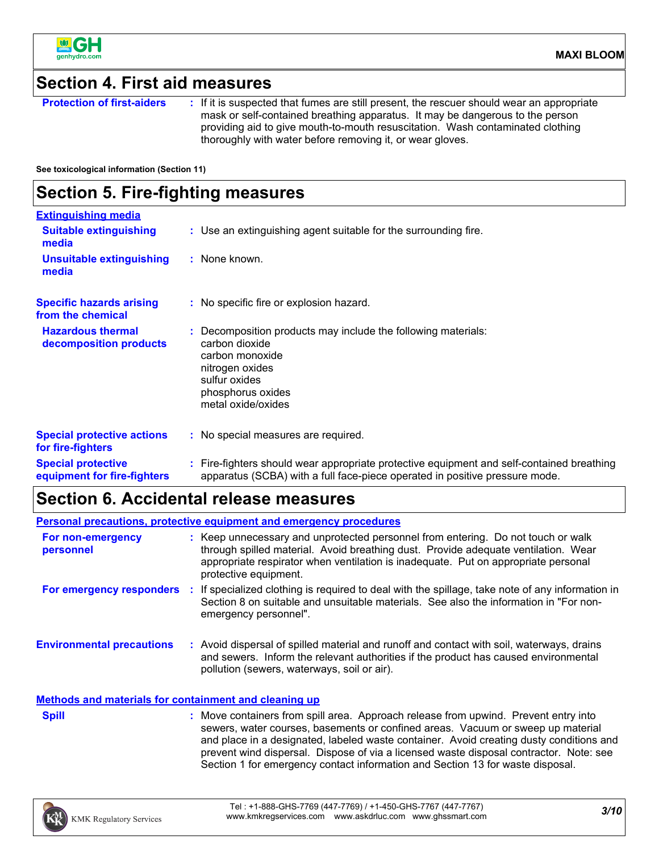

### **Section 4. First aid measures**

**Protection of first-aiders** : If it is suspected that fumes are still present, the rescuer should wear an appropriate mask or self-contained breathing apparatus. It may be dangerous to the person providing aid to give mouth-to-mouth resuscitation. Wash contaminated clothing thoroughly with water before removing it, or wear gloves.

**See toxicological information (Section 11)**

### **Section 5. Fire-fighting measures**

| <b>Extinguishing media</b>                               |                                                                                                                                                                                   |  |
|----------------------------------------------------------|-----------------------------------------------------------------------------------------------------------------------------------------------------------------------------------|--|
| <b>Suitable extinguishing</b><br>media                   | : Use an extinguishing agent suitable for the surrounding fire.                                                                                                                   |  |
| <b>Unsuitable extinguishing</b><br>media                 | : None known.                                                                                                                                                                     |  |
| <b>Specific hazards arising</b><br>from the chemical     | : No specific fire or explosion hazard.                                                                                                                                           |  |
| <b>Hazardous thermal</b><br>decomposition products       | : Decomposition products may include the following materials:<br>carbon dioxide<br>carbon monoxide<br>nitrogen oxides<br>sulfur oxides<br>phosphorus oxides<br>metal oxide/oxides |  |
| <b>Special protective actions</b><br>for fire-fighters   | : No special measures are required.                                                                                                                                               |  |
| <b>Special protective</b><br>equipment for fire-fighters | : Fire-fighters should wear appropriate protective equipment and self-contained breathing<br>apparatus (SCBA) with a full face-piece operated in positive pressure mode.          |  |

### **Section 6. Accidental release measures**

**Environmental precautions Personal precautions, protective equipment and emergency procedures :** Avoid dispersal of spilled material and runoff and contact with soil, waterways, drains **:** Keep unnecessary and unprotected personnel from entering. Do not touch or walk through spilled material. Avoid breathing dust. Provide adequate ventilation. Wear appropriate respirator when ventilation is inadequate. Put on appropriate personal protective equipment. and sewers. Inform the relevant authorities if the product has caused environmental pollution (sewers, waterways, soil or air). **Methods and materials for containment and cleaning up For non-emergency personnel For emergency responders :** If specialized clothing is required to deal with the spillage, take note of any information in Section 8 on suitable and unsuitable materials. See also the information in "For nonemergency personnel". **Spill** Somman Move containers from spill area. Approach release from upwind. Prevent entry into Somman Somman Somman Somman Somman Somman Somman Somman Somman Somman Somman Somman Somman Somman Somman Somman Somman Somman sewers, water courses, basements or confined areas. Vacuum or sweep up material

> and place in a designated, labeled waste container. Avoid creating dusty conditions and prevent wind dispersal. Dispose of via a licensed waste disposal contractor. Note: see

Section 1 for emergency contact information and Section 13 for waste disposal.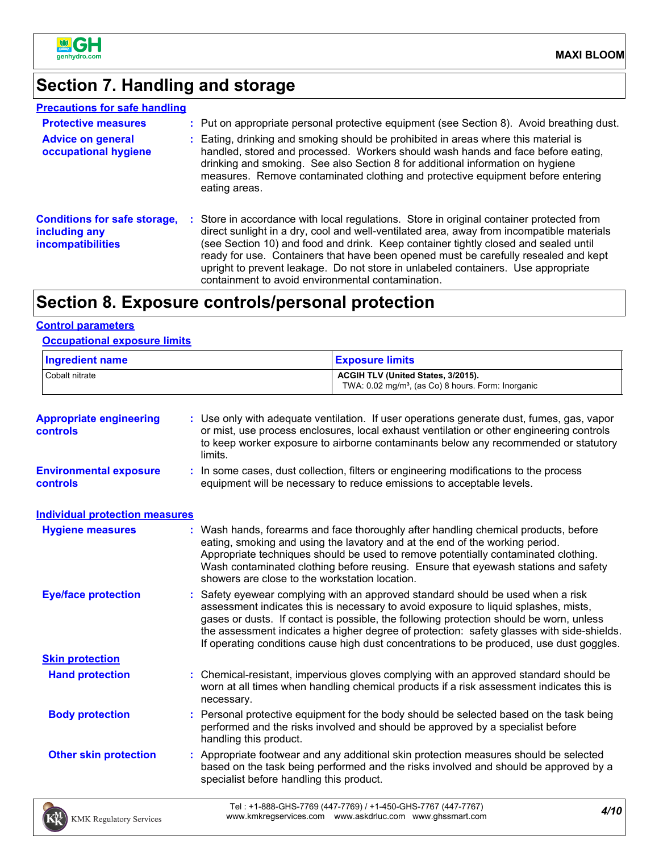

### **Section 7. Handling and storage**

| <b>Precautions for safe handling</b>                                             |                                                                                                                                                                                                                                                                                                                                                                                                                                                                                                               |
|----------------------------------------------------------------------------------|---------------------------------------------------------------------------------------------------------------------------------------------------------------------------------------------------------------------------------------------------------------------------------------------------------------------------------------------------------------------------------------------------------------------------------------------------------------------------------------------------------------|
| <b>Protective measures</b>                                                       | : Put on appropriate personal protective equipment (see Section 8). Avoid breathing dust.                                                                                                                                                                                                                                                                                                                                                                                                                     |
| <b>Advice on general</b><br>occupational hygiene                                 | : Eating, drinking and smoking should be prohibited in areas where this material is<br>handled, stored and processed. Workers should wash hands and face before eating,<br>drinking and smoking. See also Section 8 for additional information on hygiene<br>measures. Remove contaminated clothing and protective equipment before entering<br>eating areas.                                                                                                                                                 |
| <b>Conditions for safe storage,</b><br>including any<br><i>incompatibilities</i> | : Store in accordance with local regulations. Store in original container protected from<br>direct sunlight in a dry, cool and well-ventilated area, away from incompatible materials<br>(see Section 10) and food and drink. Keep container tightly closed and sealed until<br>ready for use. Containers that have been opened must be carefully resealed and kept<br>upright to prevent leakage. Do not store in unlabeled containers. Use appropriate<br>containment to avoid environmental contamination. |

## **Section 8. Exposure controls/personal protection**

### **Control parameters**

### **Occupational exposure limits**

| <b>Ingredient name</b><br>Cobalt nitrate  |                                          | <b>Exposure limits</b><br>ACGIH TLV (United States, 3/2015).<br>TWA: 0.02 mg/m <sup>3</sup> , (as Co) 8 hours. Form: Inorganic                                                                                                                                                                                                                                                                                                                           |  |  |
|-------------------------------------------|------------------------------------------|----------------------------------------------------------------------------------------------------------------------------------------------------------------------------------------------------------------------------------------------------------------------------------------------------------------------------------------------------------------------------------------------------------------------------------------------------------|--|--|
|                                           |                                          |                                                                                                                                                                                                                                                                                                                                                                                                                                                          |  |  |
| <b>Environmental exposure</b><br>controls |                                          | : In some cases, dust collection, filters or engineering modifications to the process<br>equipment will be necessary to reduce emissions to acceptable levels.                                                                                                                                                                                                                                                                                           |  |  |
| <b>Individual protection measures</b>     |                                          |                                                                                                                                                                                                                                                                                                                                                                                                                                                          |  |  |
| <b>Hygiene measures</b>                   |                                          | : Wash hands, forearms and face thoroughly after handling chemical products, before<br>eating, smoking and using the lavatory and at the end of the working period.<br>Appropriate techniques should be used to remove potentially contaminated clothing.<br>Wash contaminated clothing before reusing. Ensure that eyewash stations and safety<br>showers are close to the workstation location.                                                        |  |  |
| <b>Eye/face protection</b>                |                                          | Safety eyewear complying with an approved standard should be used when a risk<br>assessment indicates this is necessary to avoid exposure to liquid splashes, mists,<br>gases or dusts. If contact is possible, the following protection should be worn, unless<br>the assessment indicates a higher degree of protection: safety glasses with side-shields.<br>If operating conditions cause high dust concentrations to be produced, use dust goggles. |  |  |
| <b>Skin protection</b>                    |                                          |                                                                                                                                                                                                                                                                                                                                                                                                                                                          |  |  |
| <b>Hand protection</b>                    | necessary.                               | : Chemical-resistant, impervious gloves complying with an approved standard should be<br>worn at all times when handling chemical products if a risk assessment indicates this is                                                                                                                                                                                                                                                                        |  |  |
| <b>Body protection</b>                    | handling this product.                   | : Personal protective equipment for the body should be selected based on the task being<br>performed and the risks involved and should be approved by a specialist before                                                                                                                                                                                                                                                                                |  |  |
| <b>Other skin protection</b>              | specialist before handling this product. | : Appropriate footwear and any additional skin protection measures should be selected<br>based on the task being performed and the risks involved and should be approved by a                                                                                                                                                                                                                                                                            |  |  |
| <b>KMK Regulatory Services</b>            |                                          | Tel: +1-888-GHS-7769 (447-7769) / +1-450-GHS-7767 (447-7767)<br>4/10<br>www.kmkregservices.com www.askdrluc.com www.ghssmart.com                                                                                                                                                                                                                                                                                                                         |  |  |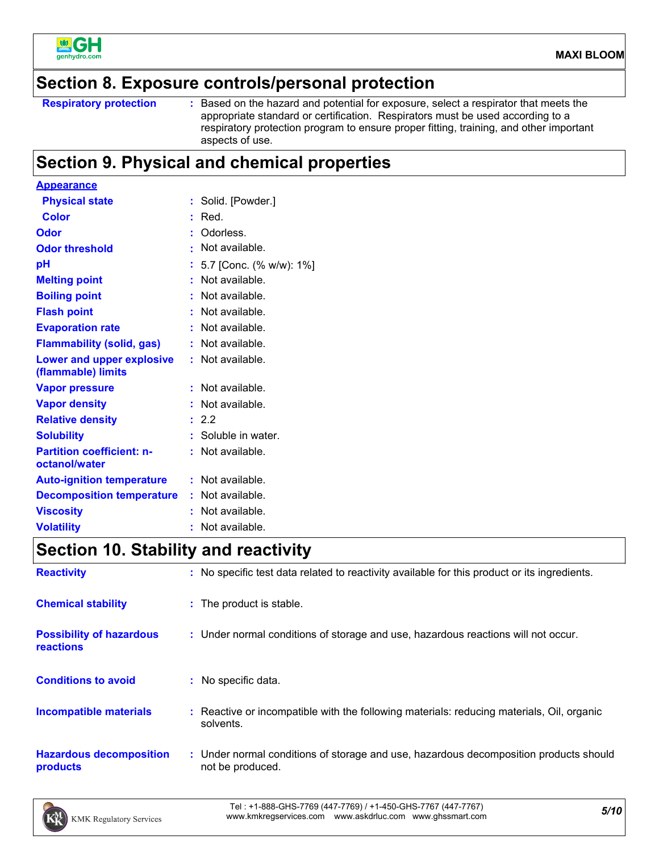

### **Section 8. Exposure controls/personal protection**

```
Respiratory protection :
```
: Based on the hazard and potential for exposure, select a respirator that meets the appropriate standard or certification. Respirators must be used according to a respiratory protection program to ensure proper fitting, training, and other important aspects of use.

### **Section 9. Physical and chemical properties**

| <b>Appearance</b>                                      |    |                         |
|--------------------------------------------------------|----|-------------------------|
| <b>Physical state</b>                                  | ÷. | Solid. [Powder.]        |
| Color                                                  | ŧ. | Red.                    |
| Odor                                                   |    | Odorless.               |
| <b>Odor threshold</b>                                  | ÷. | Not available.          |
| рH                                                     |    | 5.7 [Conc. (% w/w): 1%] |
| <b>Melting point</b>                                   |    | Not available.          |
| <b>Boiling point</b>                                   | ÷. | Not available.          |
| <b>Flash point</b>                                     |    | Not available.          |
| <b>Evaporation rate</b>                                |    | Not available.          |
| <b>Flammability (solid, gas)</b>                       | t. | Not available.          |
| <b>Lower and upper explosive</b><br>(flammable) limits |    | : Not available.        |
| <b>Vapor pressure</b>                                  |    | Not available.          |
| <b>Vapor density</b>                                   |    | Not available.          |
| <b>Relative density</b>                                |    | : 2.2                   |
| <b>Solubility</b>                                      |    | Soluble in water.       |
| <b>Partition coefficient: n-</b><br>octanol/water      |    | Not available.          |
| <b>Auto-ignition temperature</b>                       |    | : Not available.        |
| <b>Decomposition temperature</b>                       |    | : Not available.        |
| <b>Viscosity</b>                                       |    | Not available.          |
| <b>Volatility</b>                                      |    | Not available.          |

### **Section 10. Stability and reactivity**

| <b>Reactivity</b>                            | : No specific test data related to reactivity available for this product or its ingredients.              |
|----------------------------------------------|-----------------------------------------------------------------------------------------------------------|
| <b>Chemical stability</b>                    | : The product is stable.                                                                                  |
| <b>Possibility of hazardous</b><br>reactions | : Under normal conditions of storage and use, hazardous reactions will not occur.                         |
| <b>Conditions to avoid</b>                   | : No specific data.                                                                                       |
| <b>Incompatible materials</b>                | : Reactive or incompatible with the following materials: reducing materials, Oil, organic<br>solvents.    |
| <b>Hazardous decomposition</b><br>products   | : Under normal conditions of storage and use, hazardous decomposition products should<br>not be produced. |

*5/10* Tel : +1-888-GHS-7769 (447-7769) / +1-450-GHS-7767 (447-7767) www.kmkregservices.com www.askdrluc.com www.ghssmart.com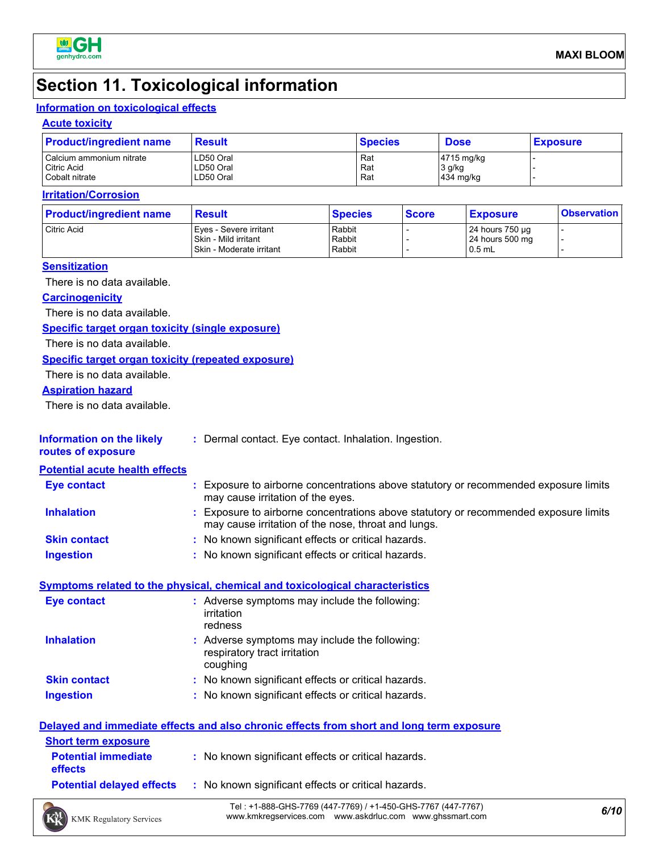

### **Section 11. Toxicological information**

#### **Information on toxicological effects**

#### **Acute toxicity**

| <b>Product/ingredient name</b> | <b>Result</b> | <b>Species</b> | <b>Dose</b> | <b>Exposure</b> |
|--------------------------------|---------------|----------------|-------------|-----------------|
| Calcium ammonium nitrate       | LD50 Oral     | Rat            | 4715 mg/kg  |                 |
| Citric Acid                    | LD50 Oral     | Rat            | 3 g/kg      |                 |
| Cobalt nitrate                 | LD50 Oral     | Rat            | 434 mg/kg   |                 |

#### **Irritation/Corrosion**

| <b>Product/ingredient name</b> | <b>Result</b>                                                                | <b>Species</b>             | <b>Score</b> | <b>Exposure</b>                                 | <b>Observation</b> |
|--------------------------------|------------------------------------------------------------------------------|----------------------------|--------------|-------------------------------------------------|--------------------|
| Citric Acid                    | Eves - Severe irritant<br>l Skin - Mild irritant<br>Skin - Moderate irritant | Rabbit<br>Rabbit<br>Rabbit |              | 24 hours 750 µg<br>24 hours 500 mg<br>$10.5$ mL |                    |

#### **Sensitization**

There is no data available.

#### **Carcinogenicity**

There is no data available.

#### **Specific target organ toxicity (single exposure)**

There is no data available.

#### **Specific target organ toxicity (repeated exposure)**

There is no data available.

#### **Aspiration hazard**

There is no data available.

| <b>Information on the likely</b> | * Dermal contact. Eye contact. Inhalation. Ingestion. |  |
|----------------------------------|-------------------------------------------------------|--|
|                                  |                                                       |  |

**routes of exposure**

#### **Potential acute health effects**

| <b>Eye contact</b>  | Exposure to airborne concentrations above statutory or recommended exposure limits<br>may cause irritation of the eyes.                   |
|---------------------|-------------------------------------------------------------------------------------------------------------------------------------------|
| <b>Inhalation</b>   | Exposure to airborne concentrations above statutory or recommended exposure limits<br>may cause irritation of the nose, throat and lungs. |
| <b>Skin contact</b> | : No known significant effects or critical hazards.                                                                                       |
| Ingestion           | No known significant effects or critical hazards.                                                                                         |

#### **Symptoms related to the physical, chemical and toxicological characteristics**

| <b>Eye contact</b>  | : Adverse symptoms may include the following:<br>irritation<br>redness                    |
|---------------------|-------------------------------------------------------------------------------------------|
| <b>Inhalation</b>   | : Adverse symptoms may include the following:<br>respiratory tract irritation<br>coughing |
| <b>Skin contact</b> | : No known significant effects or critical hazards.                                       |
| <b>Ingestion</b>    | : No known significant effects or critical hazards.                                       |

|                                       | Delayed and immediate effects and also chronic effects from short and long term exposure |
|---------------------------------------|------------------------------------------------------------------------------------------|
| <b>Short term exposure</b>            |                                                                                          |
| <b>Potential immediate</b><br>effects | : No known significant effects or critical hazards.                                      |
| <b>Potential delayed effects</b>      | : No known significant effects or critical hazards.                                      |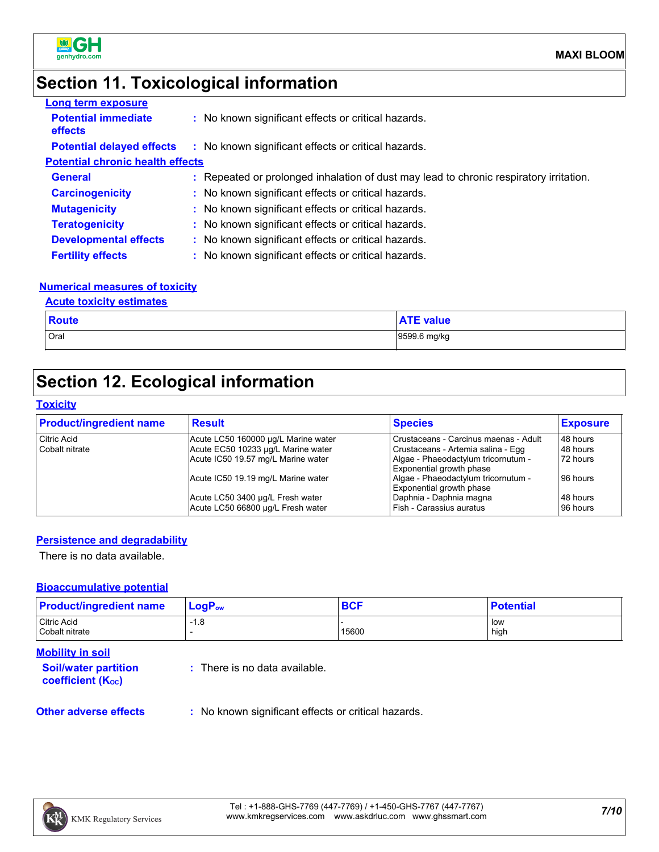

### **Section 11. Toxicological information**

| <b>Long term exposure</b>                    |                                                                                        |
|----------------------------------------------|----------------------------------------------------------------------------------------|
| <b>Potential immediate</b><br><b>effects</b> | : No known significant effects or critical hazards.                                    |
| <b>Potential delayed effects</b>             | : No known significant effects or critical hazards.                                    |
| <b>Potential chronic health effects</b>      |                                                                                        |
| <b>General</b>                               | : Repeated or prolonged inhalation of dust may lead to chronic respiratory irritation. |
| <b>Carcinogenicity</b>                       | : No known significant effects or critical hazards.                                    |
| <b>Mutagenicity</b>                          | : No known significant effects or critical hazards.                                    |
| <b>Teratogenicity</b>                        | : No known significant effects or critical hazards.                                    |
| <b>Developmental effects</b>                 | : No known significant effects or critical hazards.                                    |
| <b>Fertility effects</b>                     | : No known significant effects or critical hazards.                                    |

#### **Numerical measures of toxicity**

#### **Acute toxicity estimates**

| <b>Route</b> | --<br>value  |
|--------------|--------------|
| Oral         | 9599.6 mg/kg |

### **Section 12. Ecological information**

#### **Toxicity**

| <b>Product/ingredient name</b> | <b>Result</b>                       | <b>Species</b>                        | <b>Exposure</b> |
|--------------------------------|-------------------------------------|---------------------------------------|-----------------|
| <b>Citric Acid</b>             | Acute LC50 160000 µg/L Marine water | Crustaceans - Carcinus maenas - Adult | 48 hours        |
| Cobalt nitrate                 | Acute EC50 10233 µg/L Marine water  | Crustaceans - Artemia salina - Egg    | 48 hours        |
|                                | Acute IC50 19.57 mg/L Marine water  | Algae - Phaeodactylum tricornutum -   | 72 hours        |
|                                |                                     | Exponential growth phase              |                 |
|                                | Acute IC50 19.19 mg/L Marine water  | Algae - Phaeodactylum tricornutum -   | 96 hours        |
|                                |                                     | Exponential growth phase              |                 |
|                                | Acute LC50 3400 µg/L Fresh water    | Daphnia - Daphnia magna               | 48 hours        |
|                                | Acute LC50 66800 µg/L Fresh water   | Fish - Carassius auratus              | 96 hours        |

#### **Persistence and degradability**

There is no data available.

#### **Bioaccumulative potential**

| <b>Product/ingredient name</b> | $LogP_{ow}$ | <b>BCF</b> | <b>Potential</b>     |
|--------------------------------|-------------|------------|----------------------|
| Citric Acid<br>Cobalt nitrate  | $-1.8$      | 15600      | <b>I</b> low<br>high |

#### **Mobility in soil**

**Soil/water partition coefficient (KOC)**

**:** There is no data available.

**Other adverse effects** : No known significant effects or critical hazards.

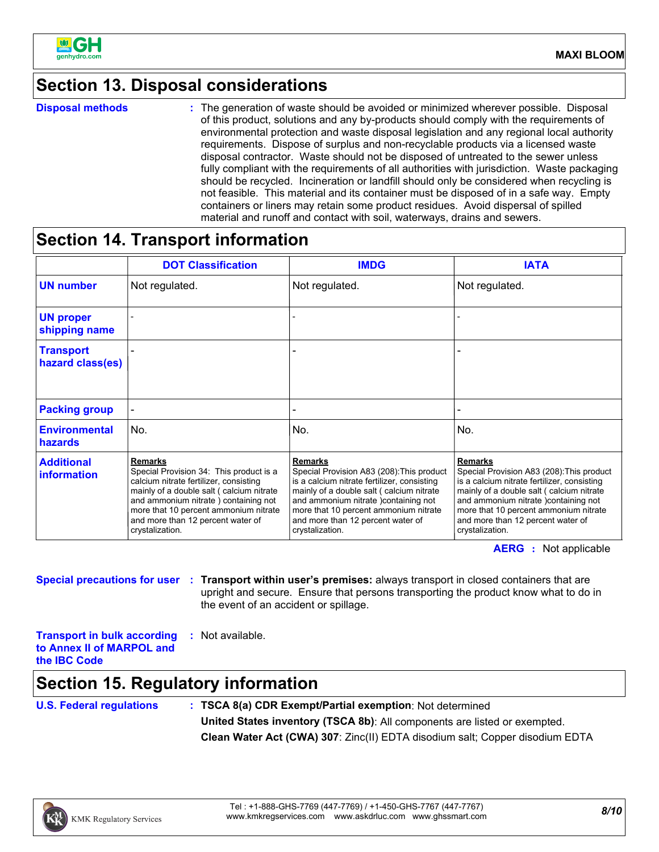

### **Section 13. Disposal considerations**

**Disposal methods :**

The generation of waste should be avoided or minimized wherever possible. Disposal of this product, solutions and any by-products should comply with the requirements of environmental protection and waste disposal legislation and any regional local authority requirements. Dispose of surplus and non-recyclable products via a licensed waste disposal contractor. Waste should not be disposed of untreated to the sewer unless fully compliant with the requirements of all authorities with jurisdiction. Waste packaging should be recycled. Incineration or landfill should only be considered when recycling is not feasible. This material and its container must be disposed of in a safe way. Empty containers or liners may retain some product residues. Avoid dispersal of spilled material and runoff and contact with soil, waterways, drains and sewers.

### **Section 14. Transport information**

|                                         | <b>DOT Classification</b>                                                                                                                                                                                                                                                                | <b>IMDG</b>                                                                                                                                                                                                                                                                                     | <b>IATA</b>                                                                                                                                                                                                                                                                                     |
|-----------------------------------------|------------------------------------------------------------------------------------------------------------------------------------------------------------------------------------------------------------------------------------------------------------------------------------------|-------------------------------------------------------------------------------------------------------------------------------------------------------------------------------------------------------------------------------------------------------------------------------------------------|-------------------------------------------------------------------------------------------------------------------------------------------------------------------------------------------------------------------------------------------------------------------------------------------------|
| <b>UN number</b>                        | Not regulated.                                                                                                                                                                                                                                                                           | Not regulated.                                                                                                                                                                                                                                                                                  | Not regulated.                                                                                                                                                                                                                                                                                  |
| <b>UN proper</b><br>shipping name       |                                                                                                                                                                                                                                                                                          |                                                                                                                                                                                                                                                                                                 |                                                                                                                                                                                                                                                                                                 |
| <b>Transport</b><br>hazard class(es)    |                                                                                                                                                                                                                                                                                          |                                                                                                                                                                                                                                                                                                 |                                                                                                                                                                                                                                                                                                 |
| <b>Packing group</b>                    |                                                                                                                                                                                                                                                                                          |                                                                                                                                                                                                                                                                                                 |                                                                                                                                                                                                                                                                                                 |
| <b>Environmental</b><br>hazards         | No.                                                                                                                                                                                                                                                                                      | No.                                                                                                                                                                                                                                                                                             | No.                                                                                                                                                                                                                                                                                             |
| <b>Additional</b><br><i>information</i> | <b>Remarks</b><br>Special Provision 34: This product is a<br>calcium nitrate fertilizer, consisting<br>mainly of a double salt (calcium nitrate<br>and ammonium nitrate) containing not<br>more that 10 percent ammonium nitrate<br>and more than 12 percent water of<br>crystalization. | <b>Remarks</b><br>Special Provision A83 (208): This product<br>is a calcium nitrate fertilizer, consisting<br>mainly of a double salt (calcium nitrate<br>and ammonium nitrate )containing not<br>more that 10 percent ammonium nitrate<br>and more than 12 percent water of<br>crystalization. | <b>Remarks</b><br>Special Provision A83 (208): This product<br>is a calcium nitrate fertilizer, consisting<br>mainly of a double salt (calcium nitrate<br>and ammonium nitrate )containing not<br>more that 10 percent ammonium nitrate<br>and more than 12 percent water of<br>crystalization. |

**AERG :** Not applicable

**Special precautions for user Transport within user's premises:** always transport in closed containers that are **:** upright and secure. Ensure that persons transporting the product know what to do in the event of an accident or spillage.

**Transport in bulk according to Annex II of MARPOL and the IBC Code :** Not available.

### **Section 15. Regulatory information**

**U.S. Federal regulations : TSCA 8(a) CDR Exempt/Partial exemption**: Not determined **United States inventory (TSCA 8b)**: All components are listed or exempted. **Clean Water Act (CWA) 307**: Zinc(II) EDTA disodium salt; Copper disodium EDTA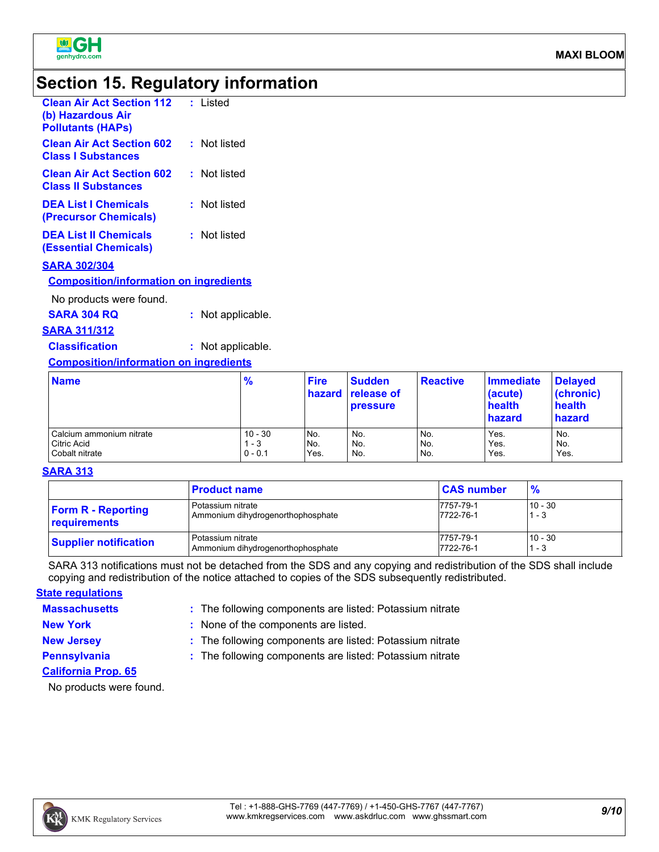

### **Section 15. Regulatory information**

| <b>Clean Air Act Section 112</b><br>(b) Hazardous Air<br><b>Pollutants (HAPs)</b> | : Listed     |
|-----------------------------------------------------------------------------------|--------------|
| <b>Clean Air Act Section 602</b><br><b>Class I Substances</b>                     | : Not listed |
| <b>Clean Air Act Section 602</b><br><b>Class II Substances</b>                    | : Not listed |
| <b>DEA List   Chemicals</b><br>(Precursor Chemicals)                              | : Not listed |
| <b>DEA List II Chemicals</b><br>(Essential Chemicals)                             | : Not listed |
| <b>SARA 302/304</b><br><b>Composition/information on ingredients</b>              |              |

No products were found.

**SARA 304 RQ :** Not applicable.

**SARA 311/312**

**Classification :** Not applicable.

#### **Composition/information on ingredients**

| <b>Name</b>              | %         | <b>Fire</b> | Sudden<br>hazard release of<br><b>pressure</b> | <b>Reactive</b> | Immediate<br>(acute)<br>health<br>hazard | <b>Delayed</b><br>(chronic)<br>health<br>hazard |
|--------------------------|-----------|-------------|------------------------------------------------|-----------------|------------------------------------------|-------------------------------------------------|
| Calcium ammonium nitrate | $10 - 30$ | INo.        | No.                                            | No.             | Yes.                                     | No.                                             |
| Citric Acid              | - 3       | No.         | No.                                            | No.             | Yes.                                     | No.                                             |
| Cobalt nitrate           | $0 - 0.1$ | Yes.        | No.                                            | No.             | Yes.                                     | Yes.                                            |

#### **SARA 313**

|                              | <b>Product name</b>               | <b>CAS number</b> | $\frac{9}{6}$ |
|------------------------------|-----------------------------------|-------------------|---------------|
| <b>Form R - Reporting</b>    | Potassium nitrate                 | 7757-79-1         | $10 - 30$     |
| requirements                 | Ammonium dihydrogenorthophosphate | 7722-76-1         | 1 - 3         |
| <b>Supplier notification</b> | Potassium nitrate                 | 7757-79-1         | $10 - 30$     |
|                              | Ammonium dihydrogenorthophosphate | 7722-76-1         | $-3$          |

SARA 313 notifications must not be detached from the SDS and any copying and redistribution of the SDS shall include copying and redistribution of the notice attached to copies of the SDS subsequently redistributed.

#### **State regulations**

**Massachusetts :**

: The following components are listed: Potassium nitrate

**New York :** None of the components are listed.

**New Jersey :** The following components are listed: Potassium nitrate

**Pennsylvania :** The following components are listed: Potassium nitrate

**California Prop. 65**

No products were found.